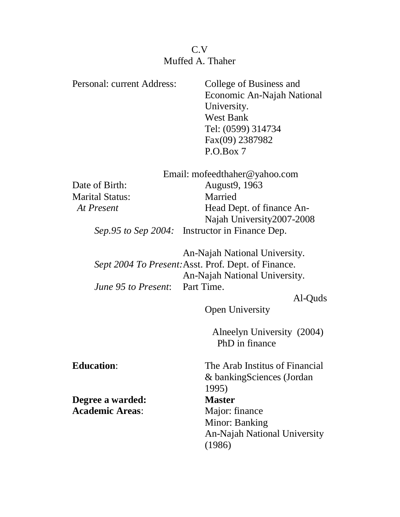## C.V Muffed A. Thaher

| Personal: current Address:    | College of Business and                             |
|-------------------------------|-----------------------------------------------------|
|                               | Economic An-Najah National                          |
|                               | University.                                         |
|                               | <b>West Bank</b>                                    |
|                               | Tel: (0599) 314734                                  |
|                               | Fax(09) 2387982                                     |
|                               | P.O.Box 7                                           |
|                               |                                                     |
| Email: mofeedthaher@yahoo.com |                                                     |
| Date of Birth:                | August9, 1963                                       |
| <b>Marital Status:</b>        | Married                                             |
| At Present                    | Head Dept. of finance An-                           |
|                               | Najah University2007-2008                           |
| <i>Sep.95 to Sep 2004:</i>    | Instructor in Finance Dep.                          |
|                               |                                                     |
|                               | An-Najah National University.                       |
|                               | Sept 2004 To Present: Asst. Prof. Dept. of Finance. |
|                               | An-Najah National University.                       |
| June 95 to Present:           | Part Time.                                          |
|                               | Al-Quds                                             |
|                               | <b>Open University</b>                              |
|                               |                                                     |
|                               | Alneelyn University (2004)<br>PhD in finance        |
|                               |                                                     |
| <b>Education:</b>             | The Arab Institus of Financial                      |
|                               | & bankingSciences (Jordan                           |
|                               | 1995)                                               |
| Degree a warded:              | <b>Master</b>                                       |
| <b>Academic Areas:</b>        | Major: finance                                      |
|                               | Minor: Banking                                      |
|                               | <b>An-Najah National University</b>                 |
|                               | (1986)                                              |
|                               |                                                     |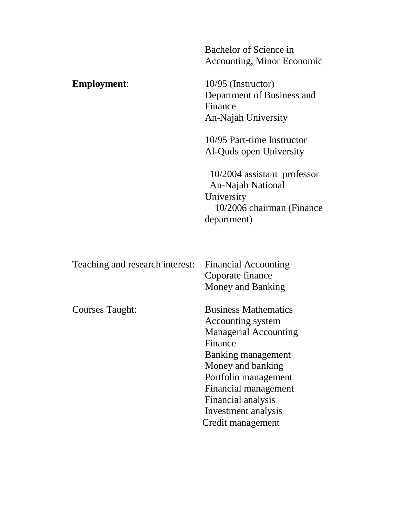Bachelor of Science in Accounting, Minor Economic

**Employment:** 10/95 (Instructor) Department of Business and Finance An-Najah University

> 10/95 Part-time Instructor Al-Quds open University

10/2004 assistant professor An-Najah National University 10/2006 chairman (Finance department)

| Teaching and research interest: | <b>Financial Accounting</b><br>Coporate finance |
|---------------------------------|-------------------------------------------------|
|                                 | Money and Banking                               |
| Courses Taught:                 | <b>Business Mathematics</b>                     |
|                                 | Accounting system                               |
|                                 | <b>Managerial Accounting</b>                    |
|                                 | Finance                                         |
|                                 | Banking management                              |
|                                 | Money and banking                               |
|                                 | Portfolio management                            |
|                                 | Financial management                            |
|                                 | Financial analysis                              |
|                                 | Investment analysis                             |
|                                 | Credit management                               |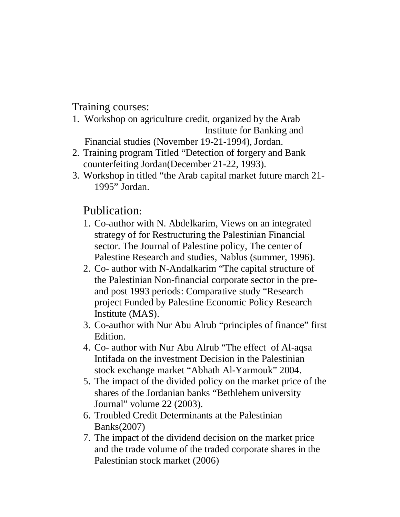Training courses:

- 1. Workshop on agriculture credit, organized by the Arab Institute for Banking and Financial studies (November 19-21-1994), Jordan.
- 2. Training program Titled "Detection of forgery and Bank counterfeiting Jordan(December 21-22, 1993).
- 3. Workshop in titled "the Arab capital market future march 21- 1995" Jordan.

Publication:

- 1. Co-author with N. Abdelkarim, Views on an integrated strategy of for Restructuring the Palestinian Financial sector. The Journal of Palestine policy, The center of Palestine Research and studies, Nablus (summer, 1996).
- 2. Co- author with N-Andalkarim "The capital structure of the Palestinian Non-financial corporate sector in the preand post 1993 periods: Comparative study "Research project Funded by Palestine Economic Policy Research Institute (MAS).
- 3. Co-author with Nur Abu Alrub "principles of finance" first Edition.
- 4. Co- author with Nur Abu Alrub "The effect of Al-aqsa Intifada on the investment Decision in the Palestinian stock exchange market "Abhath Al-Yarmouk" 2004.
- 5. The impact of the divided policy on the market price of the shares of the Jordanian banks "Bethlehem university Journal" volume 22 (2003).
- 6. Troubled Credit Determinants at the Palestinian Banks(2007)
- 7. The impact of the dividend decision on the market price and the trade volume of the traded corporate shares in the Palestinian stock market (2006)